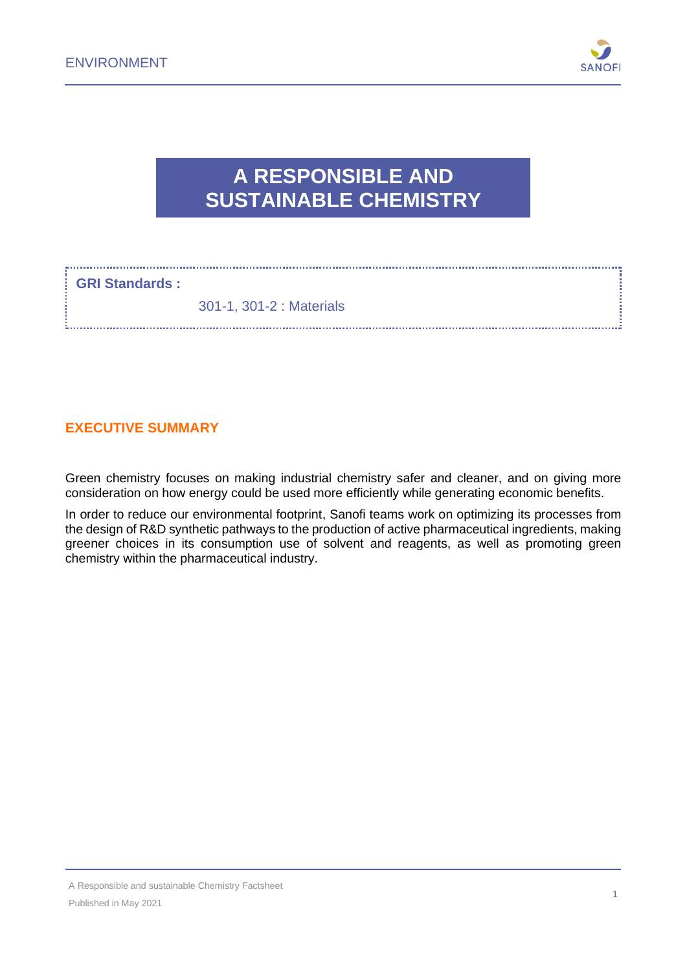

## **A RESPONSIBLE AND SUSTAINABLE CHEMISTRY**

#### **GRI Standards :**

301-1, 301-2 : Materials

## **EXECUTIVE SUMMARY**

Green chemistry focuses on making industrial chemistry safer and cleaner, and on giving more consideration on how energy could be used more efficiently while generating economic benefits.

In order to reduce our environmental footprint, Sanofi teams work on optimizing its processes from the design of R&D synthetic pathways to the production of active pharmaceutical ingredients, making greener choices in its consumption use of solvent and reagents, as well as promoting green chemistry within the pharmaceutical industry.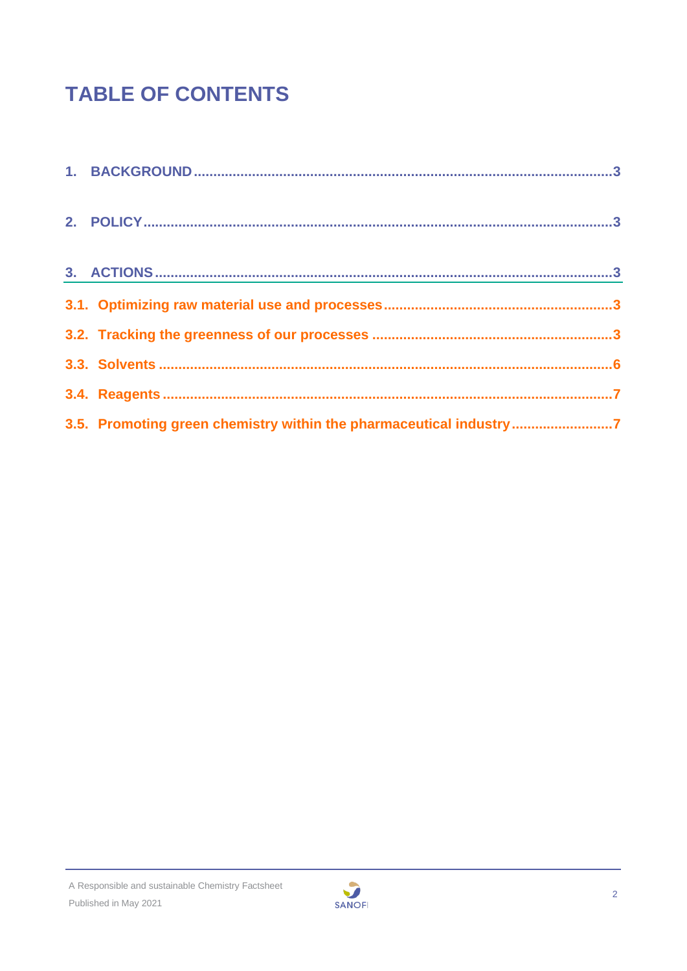# **TABLE OF CONTENTS**

| 3.5. Promoting green chemistry within the pharmaceutical industry 7 |
|---------------------------------------------------------------------|

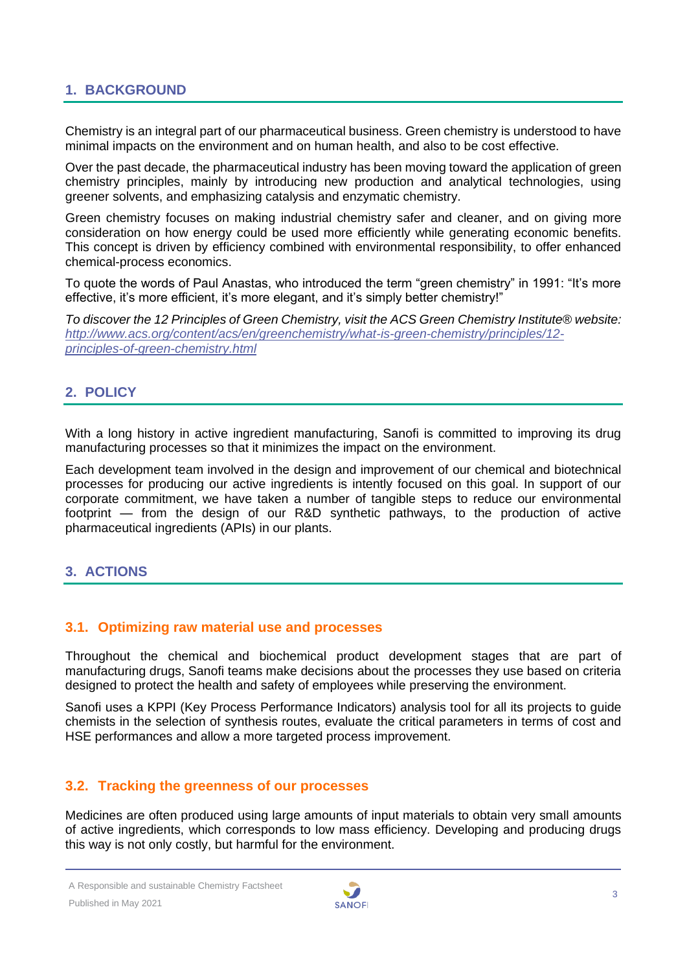## <span id="page-2-0"></span>**1. BACKGROUND**

Chemistry is an integral part of our pharmaceutical business. Green chemistry is understood to have minimal impacts on the environment and on human health, and also to be cost effective.

Over the past decade, the pharmaceutical industry has been moving toward the application of green chemistry principles, mainly by introducing new production and analytical technologies, using greener solvents, and emphasizing catalysis and enzymatic chemistry.

Green chemistry focuses on making industrial chemistry safer and cleaner, and on giving more consideration on how energy could be used more efficiently while generating economic benefits. This concept is driven by efficiency combined with environmental responsibility, to offer enhanced chemical-process economics.

To quote the words of Paul Anastas, who introduced the term "green chemistry" in 1991: "It's more effective, it's more efficient, it's more elegant, and it's simply better chemistry!"

*To discover the 12 Principles of Green Chemistry, visit the ACS Green Chemistry Institute® website: [http://www.acs.org/content/acs/en/greenchemistry/what-is-green-chemistry/principles/12](http://www.acs.org/content/acs/en/greenchemistry/what-is-green-chemistry/principles/12-principles-of-green-chemistry.html) [principles-of-green-chemistry.html](http://www.acs.org/content/acs/en/greenchemistry/what-is-green-chemistry/principles/12-principles-of-green-chemistry.html)*

## <span id="page-2-1"></span>**2. POLICY**

With a long history in active ingredient manufacturing, Sanofi is committed to improving its drug manufacturing processes so that it minimizes the impact on the environment.

Each development team involved in the design and improvement of our chemical and biotechnical processes for producing our active ingredients is intently focused on this goal. In support of our corporate commitment, we have taken a number of tangible steps to reduce our environmental footprint — from the design of our R&D synthetic pathways, to the production of active pharmaceutical ingredients (APIs) in our plants.

## <span id="page-2-2"></span>**3. ACTIONS**

#### <span id="page-2-3"></span>**3.1. Optimizing raw material use and processes**

Throughout the chemical and biochemical product development stages that are part of manufacturing drugs, Sanofi teams make decisions about the processes they use based on criteria designed to protect the health and safety of employees while preserving the environment.

Sanofi uses a KPPI (Key Process Performance Indicators) analysis tool for all its projects to guide chemists in the selection of synthesis routes, evaluate the critical parameters in terms of cost and HSE performances and allow a more targeted process improvement.

## <span id="page-2-4"></span>**3.2. Tracking the greenness of our processes**

Medicines are often produced using large amounts of input materials to obtain very small amounts of active ingredients, which corresponds to low mass efficiency. Developing and producing drugs this way is not only costly, but harmful for the environment.

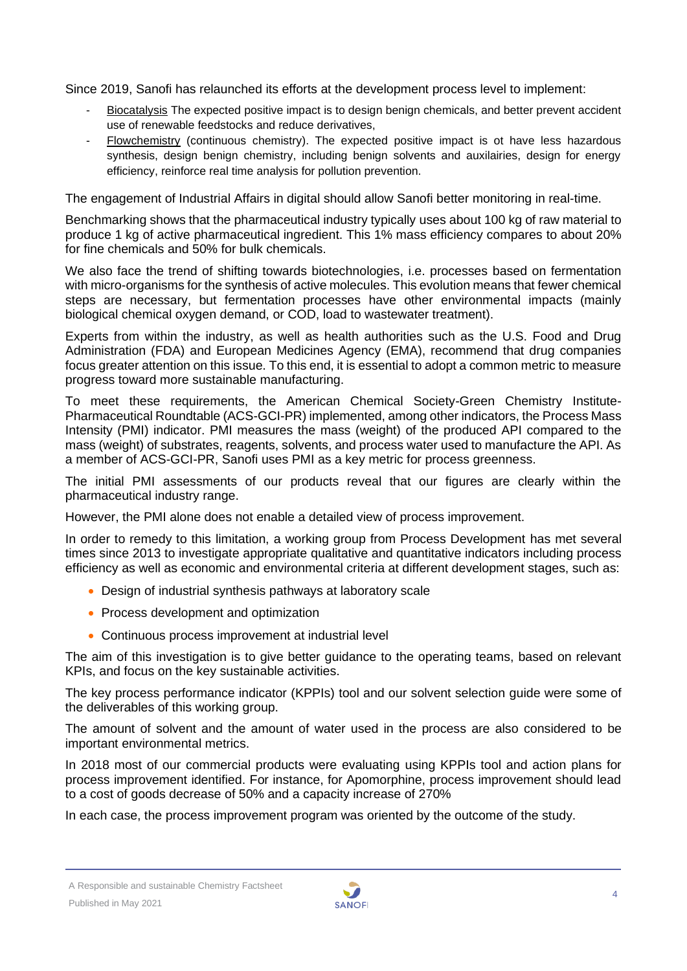Since 2019, Sanofi has relaunched its efforts at the development process level to implement:

- Biocatalysis The expected positive impact is to design benign chemicals, and better prevent accident use of renewable feedstocks and reduce derivatives,
- Flowchemistry (continuous chemistry). The expected positive impact is ot have less hazardous synthesis, design benign chemistry, including benign solvents and auxilairies, design for energy efficiency, reinforce real time analysis for pollution prevention.

The engagement of Industrial Affairs in digital should allow Sanofi better monitoring in real-time.

Benchmarking shows that the pharmaceutical industry typically uses about 100 kg of raw material to produce 1 kg of active pharmaceutical ingredient. This 1% mass efficiency compares to about 20% for fine chemicals and 50% for bulk chemicals.

We also face the trend of shifting towards biotechnologies, i.e. processes based on fermentation with micro-organisms for the synthesis of active molecules. This evolution means that fewer chemical steps are necessary, but fermentation processes have other environmental impacts (mainly biological chemical oxygen demand, or COD, load to wastewater treatment).

Experts from within the industry, as well as health authorities such as the U.S. Food and Drug Administration (FDA) and European Medicines Agency (EMA), recommend that drug companies focus greater attention on this issue. To this end, it is essential to adopt a common metric to measure progress toward more sustainable manufacturing.

To meet these requirements, the American Chemical Society-Green Chemistry Institute-Pharmaceutical Roundtable (ACS-GCI-PR) implemented, among other indicators, the Process Mass Intensity (PMI) indicator. PMI measures the mass (weight) of the produced API compared to the mass (weight) of substrates, reagents, solvents, and process water used to manufacture the API. As a member of ACS-GCI-PR, Sanofi uses PMI as a key metric for process greenness.

The initial PMI assessments of our products reveal that our figures are clearly within the pharmaceutical industry range.

However, the PMI alone does not enable a detailed view of process improvement.

In order to remedy to this limitation, a working group from Process Development has met several times since 2013 to investigate appropriate qualitative and quantitative indicators including process efficiency as well as economic and environmental criteria at different development stages, such as:

- Design of industrial synthesis pathways at laboratory scale
- Process development and optimization
- Continuous process improvement at industrial level

The aim of this investigation is to give better guidance to the operating teams, based on relevant KPIs, and focus on the key sustainable activities.

The key process performance indicator (KPPIs) tool and our solvent selection guide were some of the deliverables of this working group.

The amount of solvent and the amount of water used in the process are also considered to be important environmental metrics.

In 2018 most of our commercial products were evaluating using KPPIs tool and action plans for process improvement identified. For instance, for Apomorphine, process improvement should lead to a cost of goods decrease of 50% and a capacity increase of 270%

In each case, the process improvement program was oriented by the outcome of the study.

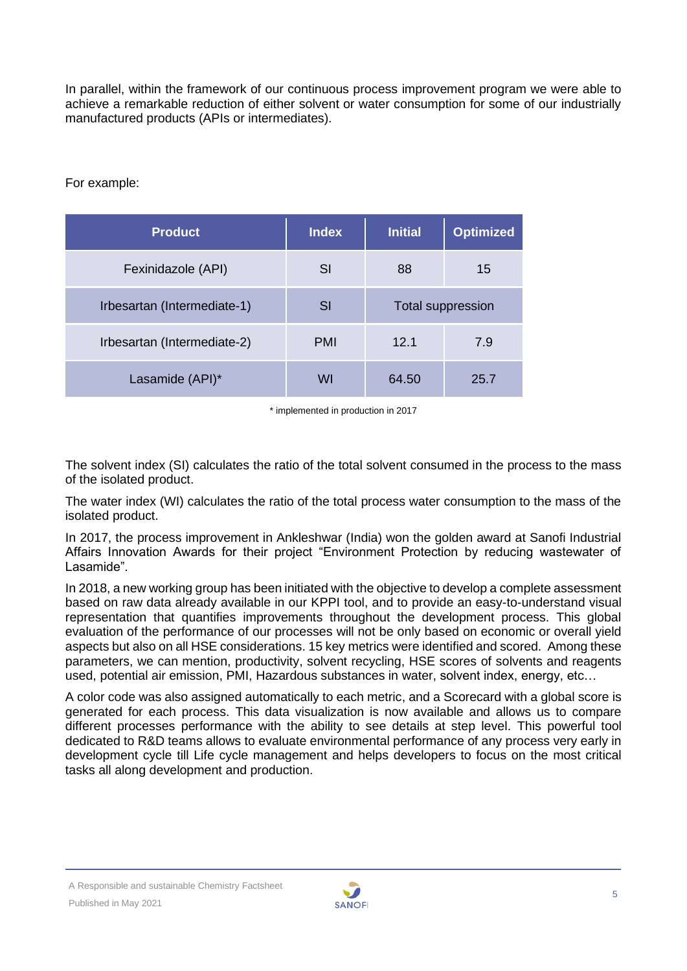In parallel, within the framework of our continuous process improvement program we were able to achieve a remarkable reduction of either solvent or water consumption for some of our industrially manufactured products (APIs or intermediates).

For example:

| <b>Product</b>              | <b>Index</b> | <b>Initial</b>           | <b>Optimized</b> |
|-----------------------------|--------------|--------------------------|------------------|
| Fexinidazole (API)          | SI           | 88                       | 15               |
| Irbesartan (Intermediate-1) | SI           | <b>Total suppression</b> |                  |
| Irbesartan (Intermediate-2) | <b>PMI</b>   | 12.1                     | 7.9              |
| Lasamide (API)*             | WI           | 64.50                    | 25.7             |

\* implemented in production in 2017

The solvent index (SI) calculates the ratio of the total solvent consumed in the process to the mass of the isolated product.

The water index (WI) calculates the ratio of the total process water consumption to the mass of the isolated product.

In 2017, the process improvement in Ankleshwar (India) won the golden award at Sanofi Industrial Affairs Innovation Awards for their project "Environment Protection by reducing wastewater of Lasamide".

In 2018, a new working group has been initiated with the objective to develop a complete assessment based on raw data already available in our KPPI tool, and to provide an easy-to-understand visual representation that quantifies improvements throughout the development process. This global evaluation of the performance of our processes will not be only based on economic or overall yield aspects but also on all HSE considerations. 15 key metrics were identified and scored. Among these parameters, we can mention, productivity, solvent recycling, HSE scores of solvents and reagents used, potential air emission, PMI, Hazardous substances in water, solvent index, energy, etc…

A color code was also assigned automatically to each metric, and a Scorecard with a global score is generated for each process. This data visualization is now available and allows us to compare different processes performance with the ability to see details at step level. This powerful tool dedicated to R&D teams allows to evaluate environmental performance of any process very early in development cycle till Life cycle management and helps developers to focus on the most critical tasks all along development and production.

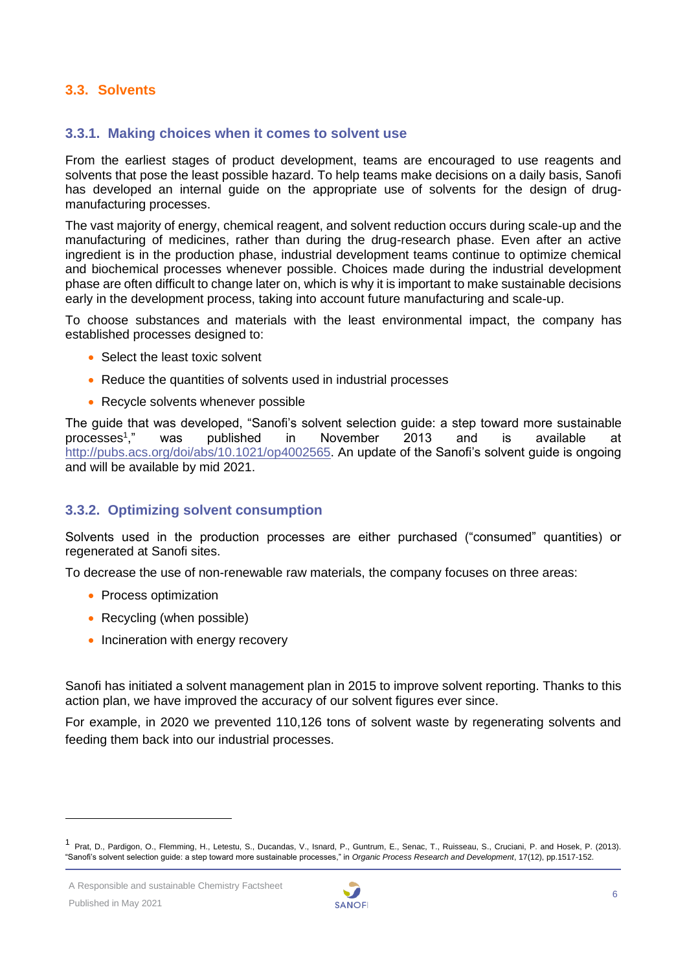## <span id="page-5-0"></span>**3.3. Solvents**

#### **3.3.1. Making choices when it comes to solvent use**

From the earliest stages of product development, teams are encouraged to use reagents and solvents that pose the least possible hazard. To help teams make decisions on a daily basis, Sanofi has developed an internal guide on the appropriate use of solvents for the design of drugmanufacturing processes.

The vast majority of energy, chemical reagent, and solvent reduction occurs during scale-up and the manufacturing of medicines, rather than during the drug-research phase. Even after an active ingredient is in the production phase, industrial development teams continue to optimize chemical and biochemical processes whenever possible. Choices made during the industrial development phase are often difficult to change later on, which is why it is important to make sustainable decisions early in the development process, taking into account future manufacturing and scale-up.

To choose substances and materials with the least environmental impact, the company has established processes designed to:

- Select the least toxic solvent
- Reduce the quantities of solvents used in industrial processes
- Recycle solvents whenever possible

The guide that was developed, "Sanofi's solvent selection guide: a step toward more sustainable processes<sup>1</sup>." ," was published in November 2013 and is available at [http://pubs.acs.org/doi/abs/10.1021/op4002565.](http://pubs.acs.org/doi/abs/10.1021/op4002565) An update of the Sanofi's solvent quide is ongoing and will be available by mid 2021.

#### **3.3.2. Optimizing solvent consumption**

Solvents used in the production processes are either purchased ("consumed" quantities) or regenerated at Sanofi sites.

To decrease the use of non-renewable raw materials, the company focuses on three areas:

- Process optimization
- Recycling (when possible)
- Incineration with energy recovery

Sanofi has initiated a solvent management plan in 2015 to improve solvent reporting. Thanks to this action plan, we have improved the accuracy of our solvent figures ever since.

For example, in 2020 we prevented 110,126 tons of solvent waste by regenerating solvents and feeding them back into our industrial processes.



<sup>1</sup> Prat, D., Pardigon, O., Flemming, H., Letestu, S., Ducandas, V., Isnard, P., Guntrum, E., Senac, T., Ruisseau, S., Cruciani, P. and Hosek, P. (2013). "Sanofi's solvent selection guide: a step toward more sustainable processes," in *Organic Process Research and Development*, 17(12), pp.1517-152.

A Responsible and sustainable Chemistry Factsheet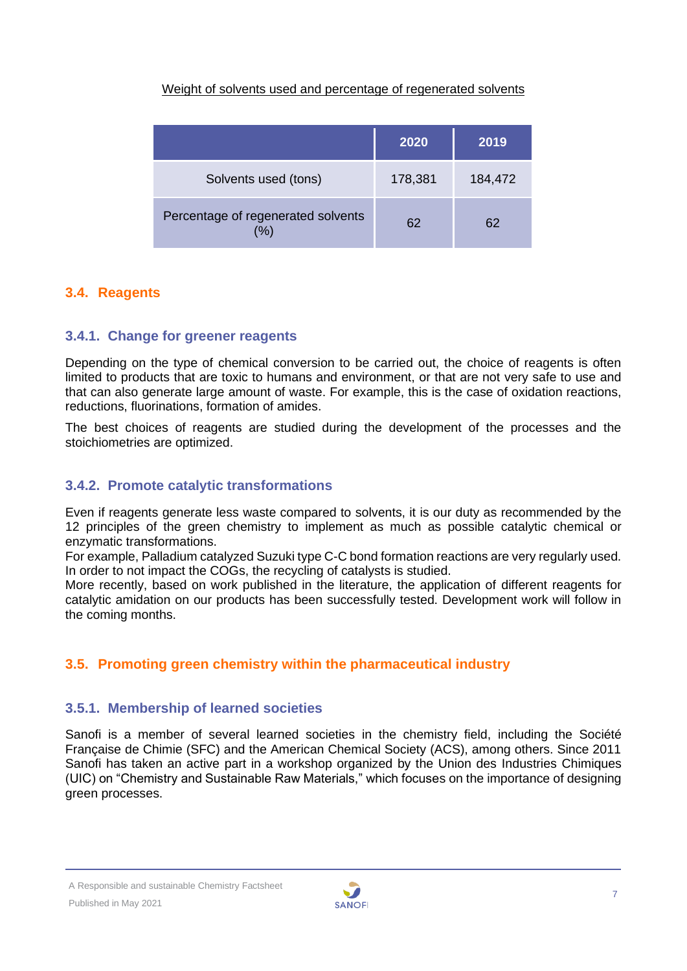## Weight of solvents used and percentage of regenerated solvents

|                                            | 2020    | 2019    |
|--------------------------------------------|---------|---------|
| Solvents used (tons)                       | 178,381 | 184,472 |
| Percentage of regenerated solvents<br>$\%$ | 62      | 62      |

## <span id="page-6-0"></span>**3.4. Reagents**

## **3.4.1. Change for greener reagents**

Depending on the type of chemical conversion to be carried out, the choice of reagents is often limited to products that are toxic to humans and environment, or that are not very safe to use and that can also generate large amount of waste. For example, this is the case of oxidation reactions, reductions, fluorinations, formation of amides.

The best choices of reagents are studied during the development of the processes and the stoichiometries are optimized.

## **3.4.2. Promote catalytic transformations**

Even if reagents generate less waste compared to solvents, it is our duty as recommended by the 12 principles of the green chemistry to implement as much as possible catalytic chemical or enzymatic transformations.

For example, Palladium catalyzed Suzuki type C-C bond formation reactions are very regularly used. In order to not impact the COGs, the recycling of catalysts is studied.

More recently, based on work published in the literature, the application of different reagents for catalytic amidation on our products has been successfully tested. Development work will follow in the coming months.

## <span id="page-6-1"></span>**3.5. Promoting green chemistry within the pharmaceutical industry**

#### **3.5.1. Membership of learned societies**

Sanofi is a member of several learned societies in the chemistry field, including the Société Française de Chimie (SFC) and the American Chemical Society (ACS), among others. Since 2011 Sanofi has taken an active part in a workshop organized by the Union des Industries Chimiques (UIC) on "Chemistry and Sustainable Raw Materials," which focuses on the importance of designing green processes.

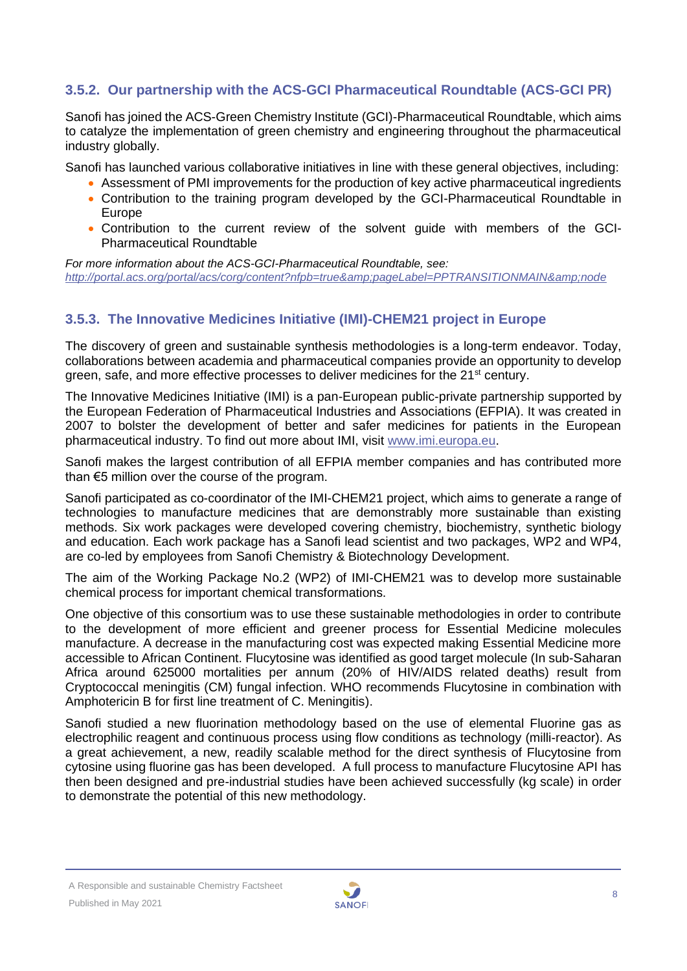## **3.5.2. Our partnership with the ACS-GCI Pharmaceutical Roundtable (ACS-GCI PR)**

Sanofi has joined the ACS-Green Chemistry Institute (GCI)-Pharmaceutical Roundtable, which aims to catalyze the implementation of green chemistry and engineering throughout the pharmaceutical industry globally.

Sanofi has launched various collaborative initiatives in line with these general objectives, including:

- Assessment of PMI improvements for the production of key active pharmaceutical ingredients
- Contribution to the training program developed by the GCI-Pharmaceutical Roundtable in Europe
- Contribution to the current review of the solvent guide with members of the GCI-Pharmaceutical Roundtable

*For more information about the ACS-GCI-Pharmaceutical Roundtable, see:*  <http://portal.acs.org/portal/acs/corg/content?nfpb=true&pageLabel=PPTRANSITIONMAIN&node>

## **3.5.3. The Innovative Medicines Initiative (IMI)-CHEM21 project in Europe**

The discovery of green and sustainable synthesis methodologies is a long-term endeavor. Today, collaborations between academia and pharmaceutical companies provide an opportunity to develop green, safe, and more effective processes to deliver medicines for the 21<sup>st</sup> century.

The Innovative Medicines Initiative (IMI) is a pan-European public-private partnership supported by the European Federation of Pharmaceutical Industries and Associations (EFPIA). It was created in 2007 to bolster the development of better and safer medicines for patients in the European pharmaceutical industry. To find out more about IMI, visit [www.imi.europa.eu.](http://www.imi.europa.eu/)

Sanofi makes the largest contribution of all EFPIA member companies and has contributed more than €5 million over the course of the program.

Sanofi participated as co-coordinator of the IMI-CHEM21 project, which aims to generate a range of technologies to manufacture medicines that are demonstrably more sustainable than existing methods. Six work packages were developed covering chemistry, biochemistry, synthetic biology and education. Each work package has a Sanofi lead scientist and two packages, WP2 and WP4, are co-led by employees from Sanofi Chemistry & Biotechnology Development.

The aim of the Working Package No.2 (WP2) of IMI-CHEM21 was to develop more sustainable chemical process for important chemical transformations.

One objective of this consortium was to use these sustainable methodologies in order to contribute to the development of more efficient and greener process for Essential Medicine molecules manufacture. A decrease in the manufacturing cost was expected making Essential Medicine more accessible to African Continent. Flucytosine was identified as good target molecule (In sub-Saharan Africa around 625000 mortalities per annum (20% of HIV/AIDS related deaths) result from Cryptococcal meningitis (CM) fungal infection. WHO recommends Flucytosine in combination with Amphotericin B for first line treatment of C. Meningitis).

Sanofi studied a new fluorination methodology based on the use of elemental Fluorine gas as electrophilic reagent and continuous process using flow conditions as technology (milli-reactor). As a great achievement, a new, readily scalable method for the direct synthesis of Flucytosine from cytosine using fluorine gas has been developed. A full process to manufacture Flucytosine API has then been designed and pre-industrial studies have been achieved successfully (kg scale) in order to demonstrate the potential of this new methodology.